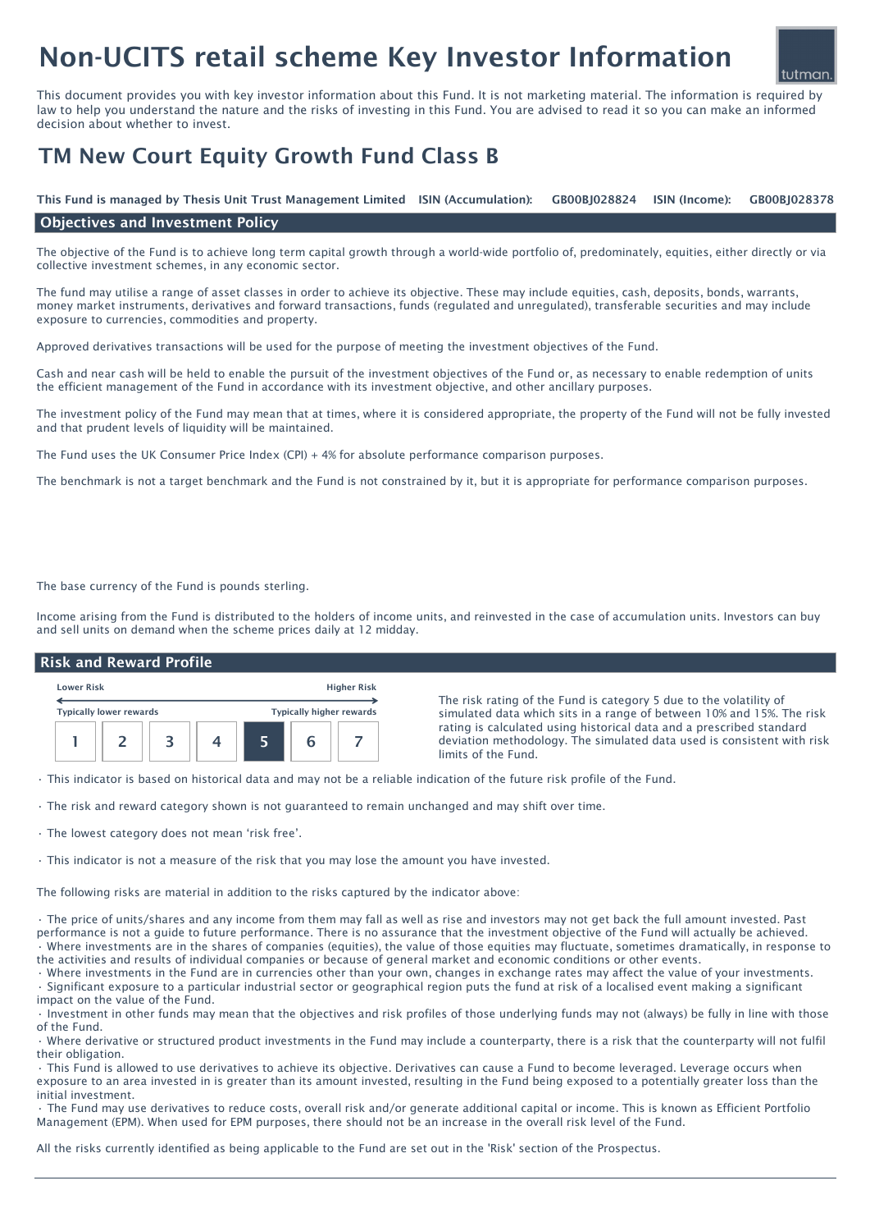# Non-UCITS retail scheme Key Investor Information

This document provides you with key investor information about this Fund. It is not marketing material. The information is required by law to help you understand the nature and the risks of investing in this Fund. You are advised to read it so you can make an informed decision about whether to invest.

## TM New Court Equity Growth Fund Class B

ISIN (Income): This Fund is managed by Thesis Unit Trust Management Limited ISIN (Accumulation): GB00BJ028824 ISIN (Income): GB00BJ028378

#### Objectives and Investment Policy

The objective of the Fund is to achieve long term capital growth through a world-wide portfolio of, predominately, equities, either directly or via collective investment schemes, in any economic sector.

The fund may utilise a range of asset classes in order to achieve its objective. These may include equities, cash, deposits, bonds, warrants, money market instruments, derivatives and forward transactions, funds (regulated and unregulated), transferable securities and may include exposure to currencies, commodities and property.

Approved derivatives transactions will be used for the purpose of meeting the investment objectives of the Fund.

Cash and near cash will be held to enable the pursuit of the investment objectives of the Fund or, as necessary to enable redemption of units the efficient management of the Fund in accordance with its investment objective, and other ancillary purposes.

The investment policy of the Fund may mean that at times, where it is considered appropriate, the property of the Fund will not be fully invested and that prudent levels of liquidity will be maintained.

The Fund uses the UK Consumer Price Index (CPI) + 4% for absolute performance comparison purposes.

The benchmark is not a target benchmark and the Fund is not constrained by it, but it is appropriate for performance comparison purposes.

The base currency of the Fund is pounds sterling.

Income arising from the Fund is distributed to the holders of income units, and reinvested in the case of accumulation units. Investors can buy and sell units on demand when the scheme prices daily at 12 midday.

#### Risk and Reward Profile



The risk rating of the Fund is category 5 due to the volatility of simulated data which sits in a range of between 10% and 15%. The risk rating is calculated using historical data and a prescribed standard deviation methodology. The simulated data used is consistent with risk limits of the Fund.

tutman

• This indicator is based on historical data and may not be a reliable indication of the future risk profile of the Fund.

- The risk and reward category shown is not guaranteed to remain unchanged and may shift over time.
- The lowest category does not mean 'risk free'.

• This indicator is not a measure of the risk that you may lose the amount you have invested.

The following risks are material in addition to the risks captured by the indicator above:

• The price of units/shares and any income from them may fall as well as rise and investors may not get back the full amount invested. Past performance is not a guide to future performance. There is no assurance that the investment objective of the Fund will actually be achieved. • Where investments are in the shares of companies (equities), the value of those equities may fluctuate, sometimes dramatically, in response to the activities and results of individual companies or because of general market and economic conditions or other events.

• Where investments in the Fund are in currencies other than your own, changes in exchange rates may affect the value of your investments. • Significant exposure to a particular industrial sector or geographical region puts the fund at risk of a localised event making a significant impact on the value of the Fund.

• Investment in other funds may mean that the objectives and risk profiles of those underlying funds may not (always) be fully in line with those of the Fund.

• Where derivative or structured product investments in the Fund may include a counterparty, there is a risk that the counterparty will not fulfil their obligation.

• This Fund is allowed to use derivatives to achieve its objective. Derivatives can cause a Fund to become leveraged. Leverage occurs when exposure to an area invested in is greater than its amount invested, resulting in the Fund being exposed to a potentially greater loss than the initial investment.

• The Fund may use derivatives to reduce costs, overall risk and/or generate additional capital or income. This is known as Efficient Portfolio Management (EPM). When used for EPM purposes, there should not be an increase in the overall risk level of the Fund.

All the risks currently identified as being applicable to the Fund are set out in the 'Risk' section of the Prospectus.